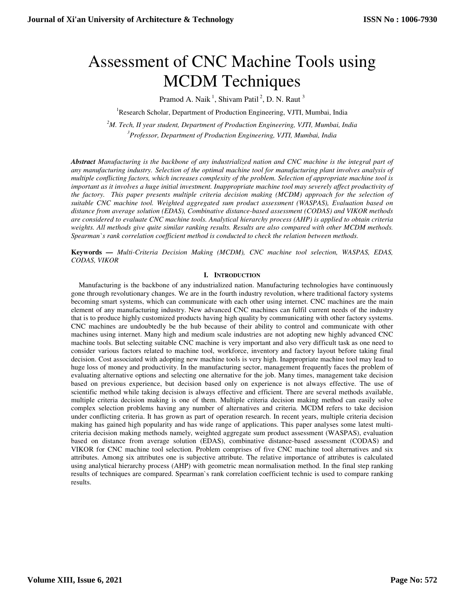# Assessment of CNC Machine Tools using MCDM Techniques

Pramod A. Naik<sup>1</sup>, Shivam Patil<sup>2</sup>, D. N. Raut<sup>3</sup>

<sup>1</sup>Research Scholar, Department of Production Engineering, VJTI, Mumbai, India

*<sup>2</sup>M. Tech, II year student, Department of Production Engineering, VJTI, Mumbai, India* 

*3 Professor, Department of Production Engineering, VJTI, Mumbai, India* 

*Abstract Manufacturing is the backbone of any industrialized nation and CNC machine is the integral part of any manufacturing industry. Selection of the optimal machine tool for manufacturing plant involves analysis of multiple conflicting factors, which increases complexity of the problem. Selection of appropriate machine tool is important as it involves a huge initial investment. Inappropriate machine tool may severely affect productivity of the factory. This paper presents multiple criteria decision making (MCDM) approach for the selection of suitable CNC machine tool. Weighted aggregated sum product assessment (WASPAS), Evaluation based on distance from average solution (EDAS), Combinative distance-based assessment (CODAS) and VIKOR methods are considered to evaluate CNC machine tools. Analytical hierarchy process (AHP) is applied to obtain criteria weights. All methods give quite similar ranking results. Results are also compared with other MCDM methods. Spearman`s rank correlation coefficient method is conducted to check the relation between methods.*

**Keywords** *— Multi-Criteria Decision Making (MCDM), CNC machine tool selection, WASPAS, EDAS, CODAS, VIKOR* 

# **I. INTRODUCTION**

Manufacturing is the backbone of any industrialized nation. Manufacturing technologies have continuously gone through revolutionary changes. We are in the fourth industry revolution, where traditional factory systems becoming smart systems, which can communicate with each other using internet. CNC machines are the main element of any manufacturing industry. New advanced CNC machines can fulfil current needs of the industry that is to produce highly customized products having high quality by communicating with other factory systems. CNC machines are undoubtedly be the hub because of their ability to control and communicate with other machines using internet. Many high and medium scale industries are not adopting new highly advanced CNC machine tools. But selecting suitable CNC machine is very important and also very difficult task as one need to consider various factors related to machine tool, workforce, inventory and factory layout before taking final decision. Cost associated with adopting new machine tools is very high. Inappropriate machine tool may lead to huge loss of money and productivity. In the manufacturing sector, management frequently faces the problem of evaluating alternative options and selecting one alternative for the job. Many times, management take decision based on previous experience, but decision based only on experience is not always effective. The use of scientific method while taking decision is always effective and efficient. There are several methods available, multiple criteria decision making is one of them. Multiple criteria decision making method can easily solve complex selection problems having any number of alternatives and criteria. MCDM refers to take decision under conflicting criteria. It has grown as part of operation research. In recent years, multiple criteria decision making has gained high popularity and has wide range of applications. This paper analyses some latest multicriteria decision making methods namely, weighted aggregate sum product assessment (WASPAS), evaluation based on distance from average solution (EDAS), combinative distance-based assessment (CODAS) and VIKOR for CNC machine tool selection. Problem comprises of five CNC machine tool alternatives and six attributes. Among six attributes one is subjective attribute. The relative importance of attributes is calculated using analytical hierarchy process (AHP) with geometric mean normalisation method. In the final step ranking results of techniques are compared. Spearman`s rank correlation coefficient technic is used to compare ranking results.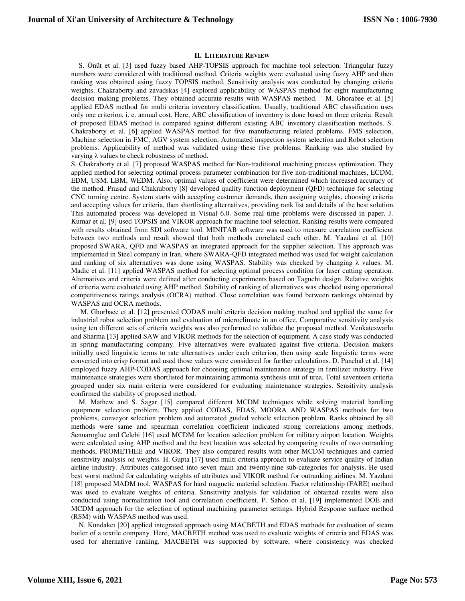#### **II. LITERATURE REVIEW**

S. Önüt et al. [3] used fuzzy based AHP-TOPSIS approach for machine tool selection. Triangular fuzzy numbers were considered with traditional method. Criteria weights were evaluated using fuzzy AHP and then ranking was obtained using fuzzy TOPSIS method. Sensitivity analysis was conducted by changing criteria weights. Chakraborty and zavadskas [4] explored applicability of WASPAS method for eight manufacturing decision making problems. They obtained accurate results with WASPAS method. M. Ghorabee et al. [5] applied EDAS method for multi criteria inventory classification. Usually, traditional ABC classification uses only one criterion, i. e. annual cost. Here, ABC classification of inventory is done based on three criteria. Result of proposed EDAS method is compared against different existing ABC inventory classification methods. S. Chakraborty et al. [6] applied WASPAS method for five manufacturing related problems, FMS selection, Machine selection in FMC, AGV system selection, Automated inspection system selection and Robot selection problems. Applicability of method was validated using these five problems. Ranking was also studied by varying λ values to check robustness of method.

S. Chakraborty et al. [7] proposed WASPAS method for Non-traditional machining process optimization. They applied method for selecting optimal process parameter combination for five non-traditional machines, ECDM, EDM, USM, LBM, WEDM. Also, optimal values of coefficient were determined which increased accuracy of the method. Prasad and Chakraborty [8] developed quality function deployment (QFD) technique for selecting CNC turning centre. System starts with accepting customer demands, then assigning weights, choosing criteria and accepting values for criteria, then shortlisting alternatives, providing rank list and details of the best solution. This automated process was developed in Visual 6.0. Some real time problems were discussed in paper. J. Kumar et al. [9] used TOPSIS and VIKOR approach for machine tool selection. Ranking results were compared with results obtained from SDI software tool. MINITAB software was used to measure correlation coefficient between two methods and result showed that both methods correlated each other. M. Yazdani et al. [10] proposed SWARA, QFD and WASPAS an integrated approach for the supplier selection. This approach was implemented in Steel company in Iran, where SWARA-QFD integrated method was used for weight calculation and ranking of six alternatives was done using WASPAS. Stability was checked by changing  $\lambda$  values. M. Madic et al. [11] applied WASPAS method for selecting optimal process condition for laser cutting operation. Alternatives and criteria were defined after conducting experiments based on Taguchi design. Relative weights of criteria were evaluated using AHP method. Stability of ranking of alternatives was checked using operational competitiveness ratings analysis (OCRA) method. Close correlation was found between rankings obtained by WASPAS and OCRA methods.

 M. Ghorbaee et al. [12] presented CODAS multi criteria decision making method and applied the same for industrial robot selection problem and evaluation of microclimate in an office. Comparative sensitivity analysis using ten different sets of criteria weights was also performed to validate the proposed method. Venkateswarlu and Sharma [13] applied SAW and VIKOR methods for the selection of equipment. A case study was conducted in spring manufacturing company. Five alternatives were evaluated against five criteria. Decision makers initially used linguistic terms to rate alternatives under each criterion, then using scale linguistic terms were converted into crisp format and used those values were considered for further calculations. D. Panchal et al. [14] employed fuzzy AHP-CODAS approach for choosing optimal maintenance strategy in fertilizer industry. Five maintenance strategies were shortlisted for maintaining ammonia synthesis unit of urea. Total seventeen criteria grouped under six main criteria were considered for evaluating maintenance strategies. Sensitivity analysis confirmed the stability of proposed method.

M. Mathew and S. Sagar [15] compared different MCDM techniques while solving material handling equipment selection problem. They applied CODAS, EDAS, MOORA AND WASPAS methods for two problems, conveyor selection problem and automated guided vehicle selection problem. Ranks obtained by all methods were same and spearman correlation coefficient indicated strong correlations among methods. Sennaroglue and Celebi [16] used MCDM for location selection problem for military airport location. Weights were calculated using AHP method and the best location was selected by comparing results of two outranking methods, PROMETHEE and VIKOR. They also compared results with other MCDM techniques and carried sensitivity analysis on weights. H. Gupta [17] used multi criteria approach to evaluate service quality of Indian airline industry. Attributes categorised into seven main and twenty-nine sub-categories for analysis. He used best worst method for calculating weights of attributes and VIKOR method for outranking airlines. M. Yazdani [18] proposed MADM tool, WASPAS for hard magnetic material selection. Factor relationship (FARE) method was used to evaluate weights of criteria. Sensitivity analysis for validation of obtained results were also conducted using normalization tool and correlation coefficient. P. Sahoo et al. [19] implemented DOE and MCDM approach for the selection of optimal machining parameter settings. Hybrid Response surface method (RSM) with WASPAS method was used.

N. Kundakcı [20] applied integrated approach using MACBETH and EDAS methods for evaluation of steam boiler of a textile company. Here, MACBETH method was used to evaluate weights of criteria and EDAS was used for alternative ranking. MACBETH was supported by software, where consistency was checked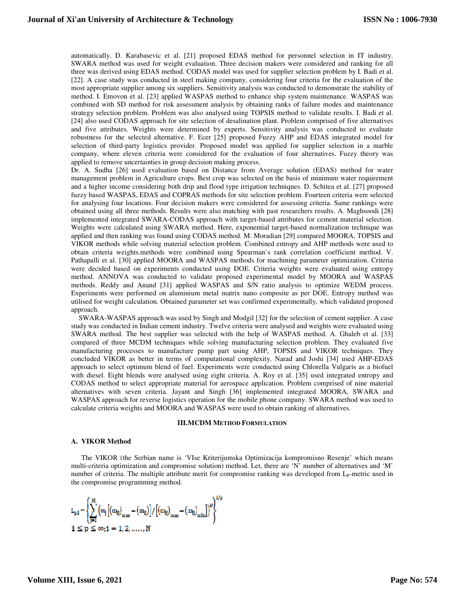automatically. D. Karabasevic et al. [21] proposed EDAS method for personnel selection in IT industry. SWARA method was used for weight evaluation. Three decision makers were considered and ranking for all three was derived using EDAS method. CODAS model was used for supplier selection problem by I. Badi et al. [22]. A case study was conducted in steel making company, considering four criteria for the evaluation of the most appropriate supplier among six suppliers. Sensitivity analysis was conducted to demonstrate the stability of method. I. Emovon et al. [23] applied WASPAS method to enhance ship system maintenance. WASPAS was combined with SD method for risk assessment analysis by obtaining ranks of failure modes and maintenance strategy selection problem. Problem was also analysed using TOPSIS method to validate results. I. Badi et al. [24] also used CODAS approach for site selection of desalination plant. Problem comprised of five alternatives and five attributes. Weights were determined by experts. Sensitivity analysis was conducted to evaluate robustness for the selected alternative. F. Ecer [25] proposed Fuzzy AHP and EDAS integrated model for selection of third-party logistics provider. Proposed model was applied for supplier selection in a marble company, where eleven criteria were considered for the evaluation of four alternatives. Fuzzy theory was applied to remove uncertainties in group decision making process.

Dr. A. Sudha [26] used evaluation based on Distance from Average solution (EDAS) method for water management problem in Agriculture crops. Best crop was selected on the basis of minimum water requirement and a higher income considering both drip and flood type irrigation techniques. D. Schitea et al. [27] proposed fuzzy based WASPAS, EDAS and COPRAS methods for site selection problem. Fourteen criteria were selected for analysing four locations. Four decision makers were considered for assessing criteria. Same rankings were obtained using all three methods. Results were also matching with past researchers results. A. Maghsoodi [28] implemented integrated SWARA-CODAS approach with target-based attributes for cement material selection. Weights were calculated using SWARA method. Here, exponential target-based normalization technique was applied and then ranking was found using CODAS method. M. Moradian [29] compared MOORA, TOPSIS and VIKOR methods while solving material selection problem. Combined entropy and AHP methods were used to obtain criteria weights.methods were combined using Spearman`s rank correlation coefficient method. V. Pathapalli et al. [30] applied MOORA and WASPAS methods for machining parameter optimization. Criteria were decided based on experiments conducted using DOE. Criteria weights were evaluated using entropy method. ANNOVA was conducted to validate proposed experimental model by MOORA and WASPAS methods. Reddy and Anand [31] applied WASPAS and S/N ratio analysis to optimize WEDM process. Experiments were performed on aluminium metal matrix nano composite as per DOE. Entropy method was utilised for weight calculation. Obtained parameter set was confirmed experimentally, which validated proposed approach.

SWARA-WASPAS approach was used by Singh and Modgil [32] for the selection of cement supplier. A case study was conducted in Indian cement industry. Twelve criteria were analysed and weights were evaluated using SWARA method. The best supplier was selected with the help of WASPAS method. A. Ghaleb et al. [33] compared of three MCDM techniques while solving manufacturing selection problem. They evaluated five manufacturing processes to manufacture pump part using AHP, TOPSIS and VIKOR techniques. They concluded VIKOR as better in terms of computational complexity. Narad and Joshi [34] used AHP-EDAS approach to select optimum blend of fuel. Experiments were conducted using Chlorella Vulgaris as a biofuel with diesel. Eight blends were analysed using eight criteria. A. Roy et al. [35] used integrated entropy and CODAS method to select appropriate material for aerospace application. Problem comprised of nine material alternatives with seven criteria. Jayant and Singh [36] implemented integrated MOORA, SWARA and WASPAS approach for reverse logistics operation for the mobile phone company. SWARA method was used to calculate criteria weights and MOORA and WASPAS were used to obtain ranking of alternatives.

#### **III.MCDM METHOD FORMULATION**

## **A. VIKOR Method**

The VIKOR (the Serbian name is 'VIse Kriterijumska Optimizacija kompromisno Resenje' which means multi-criteria optimization and compromise solution) method. Let, there are 'N' number of alternatives and 'M' number of criteria. The multiple attribute merit for compromise ranking was developed from L<sub>P</sub>-metric used in the compromise programming method.

$$
\begin{aligned} &L_{p,i}-\left\{\sum_{j=1}^{M}\left(w_{j}\left[\left(m_{ij}\right)_{\mathrm{max}}-\left(m_{ij}\right)\right]/\left[\left(m_{ij}\right)_{\mathrm{max}}-\left(m_{ij}\right)_{\mathrm{min}}\right]\right)^{p}\right\}^{1/p} \\ & 1 \leq p \leq \infty;1=1,2,\,\ldots\,,N \end{aligned}
$$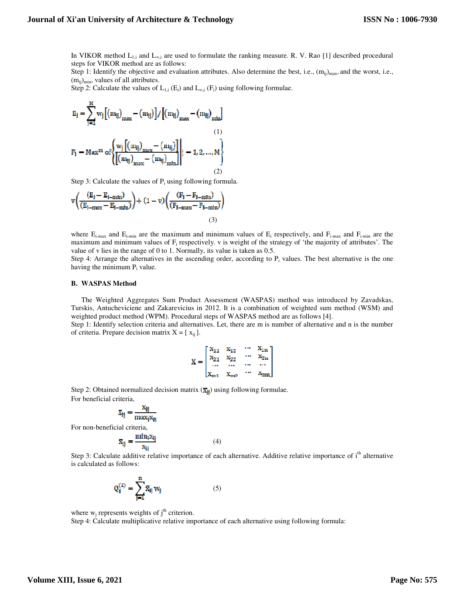In VIKOR method  $L_{1,i}$  and  $L_{\infty,i}$  are used to formulate the ranking measure. R. V. Rao [1] described procedural steps for VIKOR method are as follows:

Step 1: Identify the objective and evaluation attributes. Also determine the best, i.e.,  $(m_{ii})_{max}$ , and the worst, i.e.,  $(m_{ii})_{\text{min}}$ , values of all attributes.

Step 2: Calculate the values of  $L_{1,i}$  (E<sub>i</sub>) and  $L_{\infty,i}$  (F<sub>i</sub>) using following formulae.

$$
E_{j} = \sum_{j=1}^{M} w_{j} \left[ (m_{ij})_{max} - (m_{ij}) \right] / \left[ (m_{ij})_{max} - (m_{ij})_{min} \right]
$$
  
\n
$$
P_{j} = Max^{m} \text{ of } \left\{ \frac{w_{j} \left[ (m_{ij})_{max} - (m_{ij}) \right]}{\left[ \left( m_{ij} \right)_{max} - (m_{ij})_{min} \right]} \right|_{j} = 1, 2, ..., M \right\}
$$
  
\n(2)

Step 3: Calculate the values of  $P_i$  using following formula.

$$
v \left( \frac{(E_1 - E_{1-min})}{(E_{1-max} - E_{i-min})} \right) + (1 - v) \left( \frac{(F_1 - F_{1-min})}{(F_{1-max} - F_{i-min})} \right)
$$
\n(3)

where  $E_{i-max}$  and  $E_{i-min}$  are the maximum and minimum values of  $E_i$  respectively, and  $F_{i-max}$  and  $F_{i-min}$  are the maximum and minimum values of  $F_i$  respectively. v is weight of the strategy of 'the majority of attributes'. The value of v lies in the range of 0 to 1. Normally, its value is taken as 0.5.

Step 4: Arrange the alternatives in the ascending order, according to  $P_i$  values. The best alternative is the one having the minimum  $P_i$  value.

#### **B. WASPAS Method**

The Weighted Aggregates Sum Product Assessment (WASPAS) method was introduced by Zavadskas, Turskis, Antucheviciene and Zakarevicius in 2012. It is a combination of weighted sum method (WSM) and weighted product method (WPM). Procedural steps of WASPAS method are as follows [4].

Step 1: Identify selection criteria and alternatives. Let, there are m is number of alternative and n is the number of criteria. Prepare decision matrix  $X = [x_{ij}]$ .

$$
X = \begin{bmatrix} x_{11} & x_{12} & \cdots & x_{1n} \\ x_{21} & x_{22} & \cdots & x_{2n} \\ \cdots & \cdots & \cdots & \cdots \\ x_{m1} & x_{m2} & \cdots & x_{mn} \end{bmatrix}
$$

Step 2: Obtained normalized decision matrix  $(\overline{\mathbf{x}}_{\parallel})$  using following formulae. For beneficial criteria,

$$
\bar{x}_{ij} = \frac{x_{ij}}{\max_i x_{ii}}
$$

For non-beneficial criteria,

$$
\overline{x}_{ij} = \frac{\min_i x_{ij}}{x_{ii}}
$$

Step 3: Calculate additive relative importance of each alternative. Additive relative importance of i<sup>th</sup> alternative is calculated as follows:

(4)

$$
Q_i^{(1)} = \sum_{j=1}^{n} \bar{x}_{ij} w_j
$$
 (5)

where  $w_j$  represents weights of  $j<sup>th</sup>$  criterion.

Step 4: Calculate multiplicative relative importance of each alternative using following formula: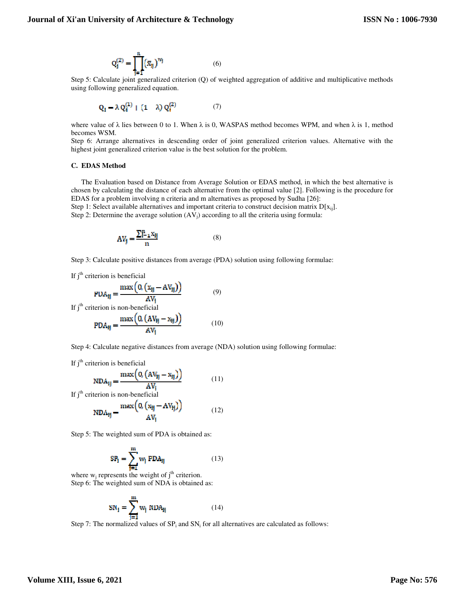$$
Q_i^{(2)} = \prod_{i=1}^n (\bar{x}_{ij})^{w_j}
$$
 (6)

Step 5: Calculate joint generalized criterion (Q) of weighted aggregation of additive and multiplicative methods using following generalized equation.

$$
Q_i = \lambda Q_i^{(1)} + (1 - \lambda) Q_i^{(2)} \tag{7}
$$

where value of  $\lambda$  lies between 0 to 1. When  $\lambda$  is 0, WASPAS method becomes WPM, and when  $\lambda$  is 1, method becomes WSM.

Step 6: Arrange alternatives in descending order of joint generalized criterion values. Alternative with the highest joint generalized criterion value is the best solution for the problem.

#### **C. EDAS Method**

The Evaluation based on Distance from Average Solution or EDAS method, in which the best alternative is chosen by calculating the distance of each alternative from the optimal value [2]. Following is the procedure for EDAS for a problem involving n criteria and m alternatives as proposed by Sudha [26]:

Step 1: Select available alternatives and important criteria to construct decision matrix  $D[x_{ii}]$ .

Step 2: Determine the average solution  $(AV_i)$  according to all the criteria using formula:

$$
AV_j = \frac{\sum_{i=1}^{n} x_{ij}}{n}
$$
 (8)

Step 3: Calculate positive distances from average (PDA) solution using following formulae:

If  $j<sup>th</sup>$  criterion is beneficial

$$
PDA_{ij} = \frac{\max\left(0, \left(x_{ij} - AV_{ij}\right)\right)}{AV_{i}}
$$
\n(9)

If  $j<sup>th</sup>$  criterion is non-beneficial  $\ell$  and  $\ell$ 

$$
PDA_{ij} = \frac{\max\left(U_i\left(AV_{ij} - X_{ij}\right)\right)}{AV_i} \tag{10}
$$

 $\Delta$ 

Step 4: Calculate negative distances from average (NDA) solution using following formulae:

If 
$$
j^{\text{th}}
$$
 criterion is beneficial

$$
NDA_{ij} = \frac{\max\left(0, \left(AV_{ij} - x_{ij}\right)\right)}{AV_i}
$$
 (11)

If  $j<sup>th</sup>$  criterion is non-beneficial

$$
NDA_{ij} = \frac{\max\left(0, \left(x_{ij} - AV_{ij}\right)\right)}{AV_i}
$$
 (12)

Step 5: The weighted sum of PDA is obtained as:

$$
SP_{j} = \sum_{j=1}^{m} w_{j} \text{ PDA}_{jj} \tag{13}
$$

where  $w_i$  represents the weight of  $j<sup>th</sup>$  criterion. Step 6: The weighted sum of NDA is obtained as:

$$
SN_{\mathbf{i}} = \sum_{j=1}^{m} w_{j} \text{ NDA}_{\mathbf{i}j} \tag{14}
$$

Step 7: The normalized values of  $SP_i$  and  $SN_i$  for all alternatives are calculated as follows: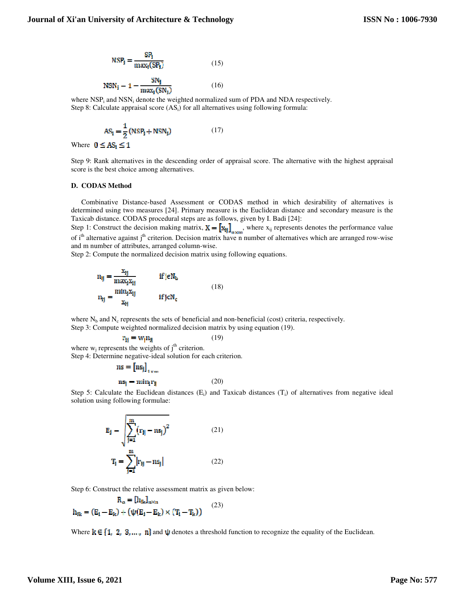$$
NSP_i = \frac{SP_i}{max_i(SP_i)}
$$
 (15)

$$
NSN_{\mathbf{i}} - 1 - \frac{SN_{\mathbf{i}}}{\max_{i}(SN_{\mathbf{i}})}
$$
 (16)

where  $NSP_i$  and  $NSN_i$  denote the weighted normalized sum of PDA and NDA respectively. Step 8: Calculate appraisal score  $(AS_i)$  for all alternatives using following formula:

$$
AS_i = \frac{1}{2}(NSP_i + NSN_i)
$$
 (17)

Where  $0 \leq AS_i \leq 1$ 

Step 9: Rank alternatives in the descending order of appraisal score. The alternative with the highest appraisal score is the best choice among alternatives.

#### **D. CODAS Method**

Combinative Distance-based Assessment or CODAS method in which desirability of alternatives is determined using two measures [24]. Primary measure is the Euclidean distance and secondary measure is the Taxicab distance. CODAS procedural steps are as follows, given by I. Badi [24]:

Step 1: Construct the decision making matrix,  $\mathbf{X} = [\mathbf{x}_{ij}]_{n \times m}$ , where  $\mathbf{x}_{ij}$  represents denotes the performance value of i<sup>th</sup> alternative against j<sup>th</sup> criterion. Decision matrix have n number of alternatives which are arranged row-wise and m number of attributes, arranged column-wise.

Step 2: Compute the normalized decision matrix using following equations.

$$
n_{ij} = \frac{x_{ij}}{\max_{i} x_{ij}} \qquad \text{if } j \in N_b
$$
  

$$
n_{ij} = \frac{\min_{i} x_{ij}}{x_{ij}} \qquad \text{if } j \in N_c
$$
 (18)

where  $N_b$  and  $N_c$  represents the sets of beneficial and non-beneficial (cost) criteria, respectively. Step 3: Compute weighted normalized decision matrix by using equation (19).

(19)

 $r_H = w_i n_H$ 

where  $w_i$  represents the weights of  $j<sup>th</sup>$  criterion. Step 4: Determine negative-ideal solution for each criterion.

$$
\mathbf{ns} = \begin{bmatrix} \mathbf{ns}_j \end{bmatrix}_{1 \times m}
$$

$$
\mathbf{ns}_j = \min_i \mathbf{r}_{ji}
$$
(20)

Step 5: Calculate the Euclidean distances  $(E_i)$  and Taxicab distances  $(T_i)$  of alternatives from negative ideal solution using following formulae:

$$
E_{j} = \sqrt{\sum_{j=1}^{m} (r_{ij} - ns_{j})^{2}}
$$
(21)  

$$
T_{i} = \sum_{j=1}^{m} |r_{ij} - ns_{j}|
$$
(22)

Step 6: Construct the relative assessment matrix as given below:

$$
\mathbf{R}_{\alpha} = [\mathbf{h}_{ik}]_{n \times n}
$$
  

$$
\mathbf{h}_{ik} = (\mathbf{E}_{i} - \mathbf{E}_{k}) + (\psi(\mathbf{E}_{i} - \mathbf{E}_{k}) \times (\mathbf{T}_{i} - \mathbf{T}_{k}))
$$
 (23)

Where  $k \in \{1, 2, 3, ..., n\}$  and  $\psi$  denotes a threshold function to recognize the equality of the Euclidean.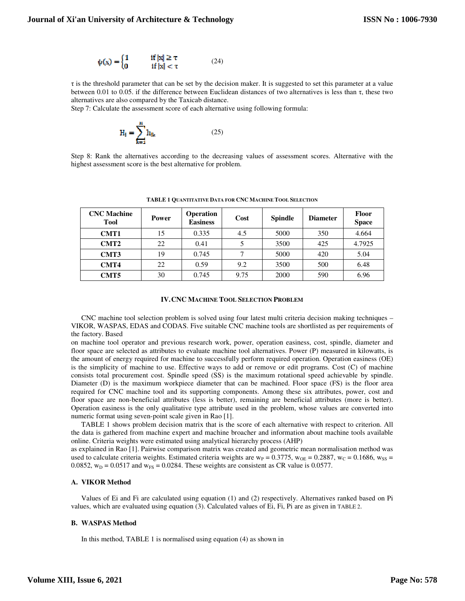$$
\psi(x) = \begin{cases} 1 & \text{if } |x| \ge \tau \\ 0 & \text{if } |x| < \tau \end{cases}
$$
 (24)

 $\tau$  is the threshold parameter that can be set by the decision maker. It is suggested to set this parameter at a value between 0.01 to 0.05. if the difference between Euclidean distances of two alternatives is less than  $\tau$ , these two alternatives are also compared by the Taxicab distance.

Step 7: Calculate the assessment score of each alternative using following formula:

$$
H_{j} = \sum_{k=1}^{n} h_{ik}
$$
 (25)

Step 8: Rank the alternatives according to the decreasing values of assessment scores. Alternative with the highest assessment score is the best alternative for problem.

| <b>CNC</b> Machine<br>Tool | <b>Power</b> | <b>Operation</b><br><b>Easiness</b> | Cost | <b>Spindle</b> | <b>Diameter</b> | <b>Floor</b><br><b>Space</b> |
|----------------------------|--------------|-------------------------------------|------|----------------|-----------------|------------------------------|
| CMT1                       | 15           | 0.335                               | 4.5  | 5000           | 350             | 4.664                        |
| CMT <sub>2</sub>           | 22           | 0.41                                |      | 3500           | 425             | 4.7925                       |
| CMT3                       | 19           | 0.745                               |      | 5000           | 420             | 5.04                         |
| CMT4                       | 22           | 0.59                                | 9.2  | 3500           | 500             | 6.48                         |
| CMT5                       | 30           | 0.745                               | 9.75 | 2000           | 590             | 6.96                         |

**TABLE 1 QUANTITATIVE DATA FOR CNC MACHINE TOOL SELECTION**

## **IV.CNC MACHINE TOOL SELECTION PROBLEM**

CNC machine tool selection problem is solved using four latest multi criteria decision making techniques – VIKOR, WASPAS, EDAS and CODAS. Five suitable CNC machine tools are shortlisted as per requirements of the factory. Based

on machine tool operator and previous research work, power, operation easiness, cost, spindle, diameter and floor space are selected as attributes to evaluate machine tool alternatives. Power (P) measured in kilowatts, is the amount of energy required for machine to successfully perform required operation. Operation easiness (OE) is the simplicity of machine to use. Effective ways to add or remove or edit programs. Cost (C) of machine consists total procurement cost. Spindle speed (SS) is the maximum rotational speed achievable by spindle. Diameter (D) is the maximum workpiece diameter that can be machined. Floor space (FS) is the floor area required for CNC machine tool and its supporting components. Among these six attributes, power, cost and floor space are non-beneficial attributes (less is better), remaining are beneficial attributes (more is better). Operation easiness is the only qualitative type attribute used in the problem, whose values are converted into numeric format using seven-point scale given in Rao [1].

TABLE 1 shows problem decision matrix that is the score of each alternative with respect to criterion. All the data is gathered from machine expert and machine broacher and information about machine tools available online. Criteria weights were estimated using analytical hierarchy process (AHP)

as explained in Rao [1]. Pairwise comparison matrix was created and geometric mean normalisation method was used to calculate criteria weights. Estimated criteria weights are  $w_P = 0.3775$ ,  $w_{OE} = 0.2887$ ,  $w_C = 0.1686$ ,  $w_{SS} =$ 0.0852,  $w_D = 0.0517$  and  $w_{FS} = 0.0284$ . These weights are consistent as CR value is 0.0577.

# **A. VIKOR Method**

Values of Ei and Fi are calculated using equation (1) and (2) respectively. Alternatives ranked based on Pi values, which are evaluated using equation (3). Calculated values of Ei, Fi, Pi are as given in TABLE 2.

## **B. WASPAS Method**

In this method, TABLE 1 is normalised using equation (4) as shown in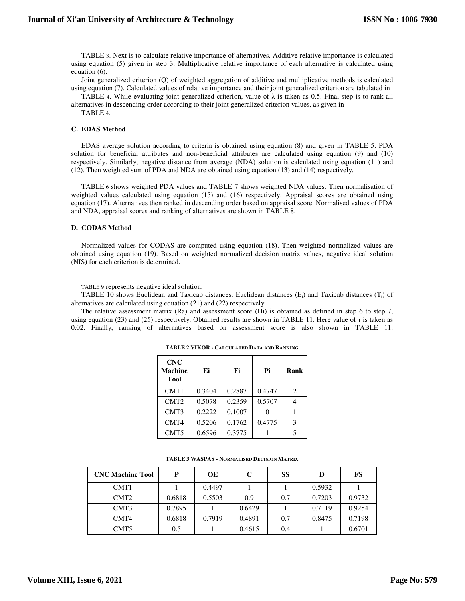TABLE 3. Next is to calculate relative importance of alternatives. Additive relative importance is calculated using equation (5) given in step 3. Multiplicative relative importance of each alternative is calculated using equation (6).

Joint generalized criterion (Q) of weighted aggregation of additive and multiplicative methods is calculated using equation (7). Calculated values of relative importance and their joint generalized criterion are tabulated in

TABLE 4. While evaluating joint generalized criterion, value of  $\lambda$  is taken as 0.5. Final step is to rank all

alternatives in descending order according to their joint generalized criterion values, as given in TABLE 4.

## **C. EDAS Method**

EDAS average solution according to criteria is obtained using equation (8) and given in TABLE 5. PDA solution for beneficial attributes and non-beneficial attributes are calculated using equation (9) and (10) respectively. Similarly, negative distance from average (NDA) solution is calculated using equation (11) and (12). Then weighted sum of PDA and NDA are obtained using equation (13) and (14) respectively.

TABLE 6 shows weighted PDA values and TABLE 7 shows weighted NDA values. Then normalisation of weighted values calculated using equation (15) and (16) respectively. Appraisal scores are obtained using equation (17). Alternatives then ranked in descending order based on appraisal score. Normalised values of PDA and NDA, appraisal scores and ranking of alternatives are shown in TABLE 8.

# **D. CODAS Method**

Normalized values for CODAS are computed using equation (18). Then weighted normalized values are obtained using equation (19). Based on weighted normalized decision matrix values, negative ideal solution (NIS) for each criterion is determined.

TABLE 9 represents negative ideal solution.

TABLE 10 shows Euclidean and Taxicab distances. Euclidean distances  $(E_i)$  and Taxicab distances  $(T_i)$  of alternatives are calculated using equation (21) and (22) respectively.

The relative assessment matrix (Ra) and assessment score (Hi) is obtained as defined in step 6 to step 7, using equation (23) and (25) respectively. Obtained results are shown in TABLE 11. Here value of  $\tau$  is taken as 0.02. Finally, ranking of alternatives based on assessment score is also shown in TABLE 11.

| <b>CNC</b><br><b>Machine</b><br><b>Tool</b> | Ei     | Fi     | Pi     | Rank           |
|---------------------------------------------|--------|--------|--------|----------------|
| CMT1                                        | 0.3404 | 0.2887 | 0.4747 | $\overline{2}$ |
| CMT <sub>2</sub>                            | 0.5078 | 0.2359 | 0.5707 |                |
| CMT3                                        | 0.2222 | 0.1007 |        |                |
| CMT4                                        | 0.5206 | 0.1762 | 0.4775 | 3              |
| CMT5                                        | 0.6596 | 0.3775 |        | 5              |

**TABLE 2 VIKOR - CALCULATED DATA AND RANKING**

| <b>CNC Machine Tool</b> | D      | OЕ     | C      | SS  | D      | FS     |
|-------------------------|--------|--------|--------|-----|--------|--------|
| CMT <sub>1</sub>        |        | 0.4497 |        |     | 0.5932 |        |
| CMT <sub>2</sub>        | 0.6818 | 0.5503 | 0.9    | 0.7 | 0.7203 | 0.9732 |
| CMT3                    | 0.7895 |        | 0.6429 |     | 0.7119 | 0.9254 |
| CMT4                    | 0.6818 | 0.7919 | 0.4891 | 0.7 | 0.8475 | 0.7198 |
| CMT <sub>5</sub>        | 0.5    |        | 0.4615 | 0.4 |        | 0.6701 |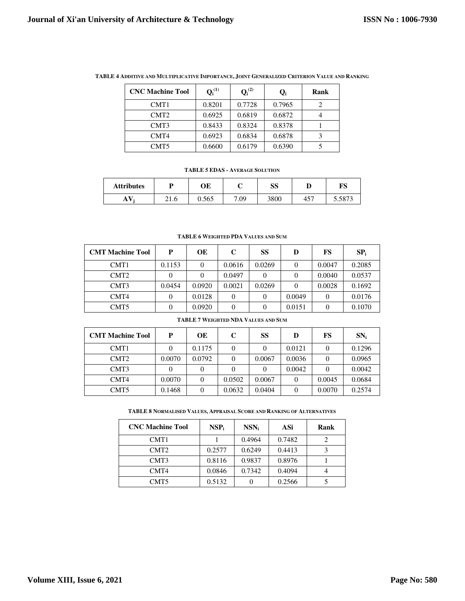| <b>CNC Machine Tool</b> | $Q_i^{(1)}$ | $Q_i^{(2)}$ | O,     | Rank |
|-------------------------|-------------|-------------|--------|------|
| CMT <sub>1</sub>        | 0.8201      | 0.7728      | 0.7965 |      |
| CMT <sub>2</sub>        | 0.6925      | 0.6819      | 0.6872 |      |
| CMT3                    | 0.8433      | 0.8324      | 0.8378 |      |
| CMT4                    | 0.6923      | 0.6834      | 0.6878 |      |
| CMT5                    | 0.6600      | 0.6179      | 0.6390 |      |

**TABLE 4 ADDITIVE AND MULTIPLICATIVE IMPORTANCE, JOINT GENERALIZED CRITERION VALUE AND RANKING**

## **TABLE 5 EDAS - AVERAGE SOLUTION**

| <b>Attributes</b> |      | ОE    |      | SS   |                 | ПС<br>ט ב       |
|-------------------|------|-------|------|------|-----------------|-----------------|
| A                 | 21.0 | 0.565 | 7.09 | 3800 | 45 <sup>7</sup> | 5072<br>J.JO 13 |

#### **TABLE 6 WEIGHTED PDA VALUES AND SUM**

| <b>CMT Machine Tool</b> | P      | OЕ       | C      | SS     | D        | FS     | $SP_i$ |
|-------------------------|--------|----------|--------|--------|----------|--------|--------|
| CMT <sub>1</sub>        | 0.1153 | $\Omega$ | 0.0616 | 0.0269 | $\Omega$ | 0.0047 | 0.2085 |
| CMT <sub>2</sub>        |        |          | 0.0497 |        |          | 0.0040 | 0.0537 |
| CMT3                    | 0.0454 | 0.0920   | 0.0021 | 0.0269 |          | 0.0028 | 0.1692 |
| CMT4                    |        | 0.0128   |        |        | 0.0049   |        | 0.0176 |
| CMT <sub>5</sub>        |        | 0.0920   |        |        | 0.0151   |        | 0.1070 |

#### **TABLE 7 WEIGHTED NDA VALUES AND SUM**

| <b>CMT Machine Tool</b> | P      | <b>OE</b> | C      | SS     | D      | FS     | $SN_i$ |
|-------------------------|--------|-----------|--------|--------|--------|--------|--------|
| CMT1                    |        | 0.1175    |        |        | 0.0121 |        | 0.1296 |
| CMT <sub>2</sub>        | 0.0070 | 0.0792    |        | 0.0067 | 0.0036 | 0      | 0.0965 |
| CMT <sub>3</sub>        |        |           |        |        | 0.0042 | 0      | 0.0042 |
| CMT4                    | 0.0070 | 0         | 0.0502 | 0.0067 | 0      | 0.0045 | 0.0684 |
| CMT <sub>5</sub>        | 0.1468 |           | 0.0632 | 0.0404 | 0      | 0.0070 | 0.2574 |

## **TABLE 8 NORMALISED VALUES, APPRAISAL SCORE AND RANKING OF ALTERNATIVES**

| <b>CNC Machine Tool</b> | $NSP_i$ | $NSN_i$ | ASi    | Rank |
|-------------------------|---------|---------|--------|------|
| CMT <sub>1</sub>        |         | 0.4964  | 0.7482 |      |
| CMT <sub>2</sub>        | 0.2577  | 0.6249  | 0.4413 |      |
| CMT3                    | 0.8116  | 0.9837  | 0.8976 |      |
| CMT4                    | 0.0846  | 0.7342  | 0.4094 |      |
| CMT <sub>5</sub>        | 0.5132  |         | 0.2566 |      |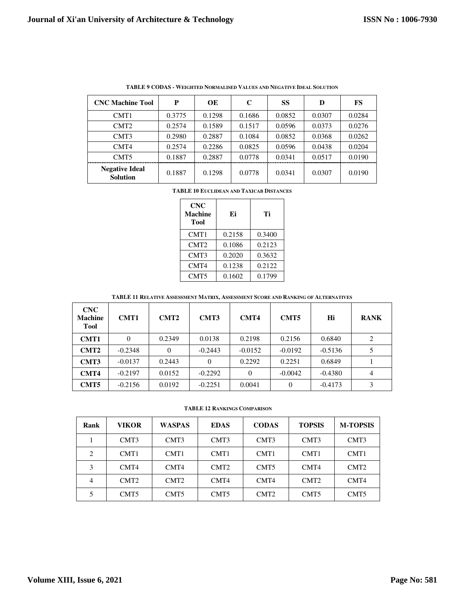|                                          |        | ТАРЕЕ / СОРАО - ЛЕВШИЕР КОМПАНСЕР ТАЕСЕЗ АКР НЕЗАПТЕ ПРЕАГООРСТВА |        |        |        |        |
|------------------------------------------|--------|-------------------------------------------------------------------|--------|--------|--------|--------|
| <b>CNC Machine Tool</b>                  | P      | OE                                                                | C      | SS     | D      | FS     |
| CMT <sub>1</sub>                         | 0.3775 | 0.1298                                                            | 0.1686 | 0.0852 | 0.0307 | 0.0284 |
| CMT <sub>2</sub>                         | 0.2574 | 0.1589                                                            | 0.1517 | 0.0596 | 0.0373 | 0.0276 |
| CMT3                                     | 0.2980 | 0.2887                                                            | 0.1084 | 0.0852 | 0.0368 | 0.0262 |
| CMT4                                     | 0.2574 | 0.2286                                                            | 0.0825 | 0.0596 | 0.0438 | 0.0204 |
| CMT <sub>5</sub>                         | 0.1887 | 0.2887                                                            | 0.0778 | 0.0341 | 0.0517 | 0.0190 |
| <b>Negative Ideal</b><br><b>Solution</b> | 0.1887 | 0.1298                                                            | 0.0778 | 0.0341 | 0.0307 | 0.0190 |

**TABLE 9 CODAS - WEIGHTED NORMALISED VALUES AND NEGATIVE IDEAL SOLUTION** 

**TABLE 10 EUCLIDEAN AND TAXICAB DISTANCES**

| <b>CNC</b><br><b>Machine</b><br>Tool | Ei     | Ti     |
|--------------------------------------|--------|--------|
| CMT1                                 | 0.2158 | 0.3400 |
| CMT <sub>2</sub>                     | 0.1086 | 0.2123 |
| CMT3                                 | 0.2020 | 0.3632 |
| CMT4                                 | 0.1238 | 0.2122 |
| CMT5                                 | 0.1602 | 0.1799 |

**TABLE 11 RELATIVE ASSESSMENT MATRIX, ASSESSMENT SCORE AND RANKING OF ALTERNATIVES**

| <b>CNC</b><br><b>Machine</b><br><b>Tool</b> | <b>CMT1</b> | CMT <sub>2</sub> | CMT3         | CMT4      | CMT <sub>5</sub> | Hi        | <b>RANK</b> |
|---------------------------------------------|-------------|------------------|--------------|-----------|------------------|-----------|-------------|
| CMT1                                        | 0           | 0.2349           | 0.0138       | 0.2198    | 0.2156           | 0.6840    | 2           |
| CMT <sub>2</sub>                            | $-0.2348$   | $\Omega$         | $-0.2443$    | $-0.0152$ | $-0.0192$        | $-0.5136$ | 5           |
| CMT3                                        | $-0.0137$   | 0.2443           | $\mathbf{0}$ | 0.2292    | 0.2251           | 0.6849    |             |
| CMT4                                        | $-0.2197$   | 0.0152           | $-0.2292$    | $\Omega$  | $-0.0042$        | $-0.4380$ | 4           |
| CMT5                                        | $-0.2156$   | 0.0192           | $-0.2251$    | 0.0041    | 0                | $-0.4173$ | 3           |

**TABLE 12 RANKINGS COMPARISON**

| Rank | <b>VIKOR</b>     | <b>WASPAS</b>    | <b>EDAS</b>      | <b>CODAS</b>     | <b>TOPSIS</b>    | <b>M-TOPSIS</b>  |
|------|------------------|------------------|------------------|------------------|------------------|------------------|
|      | CMT3             | CMT <sub>3</sub> | CMT <sub>3</sub> | CMT <sub>3</sub> | CMT <sub>3</sub> | CMT <sub>3</sub> |
| 2    | CMT <sub>1</sub> | CMT <sub>1</sub> | CMT <sub>1</sub> | CMT <sub>1</sub> | CMT <sub>1</sub> | CMT <sub>1</sub> |
| 3    | CMT4             | CMT4             | CMT <sub>2</sub> | CMT <sub>5</sub> | CMT4             | CMT <sub>2</sub> |
|      | CMT <sub>2</sub> | CMT <sub>2</sub> | CMT4             | CMT4             | CMT <sub>2</sub> | CMT4             |
|      | CMT <sub>5</sub> | CMT <sub>5</sub> | CMT <sub>5</sub> | CMT <sub>2</sub> | CMT <sub>5</sub> | CMT <sub>5</sub> |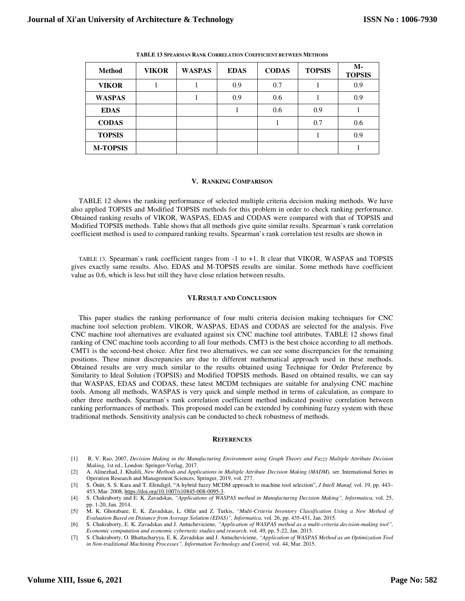| <b>Method</b>   | <b>VIKOR</b> | <b>WASPAS</b> | <b>EDAS</b> | <b>CODAS</b> | <b>TOPSIS</b> | $M -$<br><b>TOPSIS</b> |
|-----------------|--------------|---------------|-------------|--------------|---------------|------------------------|
| <b>VIKOR</b>    |              |               | 0.9         | 0.7          |               | 0.9                    |
| <b>WASPAS</b>   |              |               | 0.9         | 0.6          |               | 0.9                    |
| <b>EDAS</b>     |              |               |             | 0.6          | 0.9           |                        |
| <b>CODAS</b>    |              |               |             |              | 0.7           | 0.6                    |
| <b>TOPSIS</b>   |              |               |             |              |               | 0.9                    |
| <b>M-TOPSIS</b> |              |               |             |              |               |                        |

**TABLE 13 SPEARMAN RANK CORRELATION COEFFICIENT BETWEEN METHODS**

#### **V. RANKING COMPARISON**

TABLE 12 shows the ranking performance of selected multiple criteria decision making methods. We have also applied TOPSIS and Modified TOPSIS methods for this problem in order to check ranking performance. Obtained ranking results of VIKOR, WASPAS, EDAS and CODAS were compared with that of TOPSIS and Modified TOPSIS methods. Table shows that all methods give quite similar results. Spearman`s rank correlation coefficient method is used to compared ranking results. Spearman`s rank correlation test results are shown in

TABLE 13. Spearman`s rank coefficient ranges from -1 to +1. It clear that VIKOR, WASPAS and TOPSIS gives exactly same results. Also, EDAS and M-TOPSIS results are similar. Some methods have coefficient value as 0.6, which is less but still they have close relation between results.

#### **VI.RESULT AND CONCLUSION**

This paper studies the ranking performance of four multi criteria decision making techniques for CNC machine tool selection problem. VIKOR, WASPAS, EDAS and CODAS are selected for the analysis. Five CNC machine tool alternatives are evaluated against six CNC machine tool attributes. TABLE 12 shows final ranking of CNC machine tools according to all four methods. CMT3 is the best choice according to all methods. CMT1 is the second-best choice. After first two alternatives, we can see some discrepancies for the remaining positions. These minor discrepancies are due to different mathematical approach used in these methods. Obtained results are very much similar to the results obtained using Technique for Order Preference by Similarity to Ideal Solution (TOPSIS) and Modified TOPSIS methods. Based on obtained results, we can say that WASPAS, EDAS and CODAS, these latest MCDM techniques are suitable for analysing CNC machine tools. Among all methods, WASPAS is very quick and simple method in terms of calculation, as compare to other three methods. Spearman`s rank correlation coefficient method indicated positive correlation between ranking performances of methods. This proposed model can be extended by combining fuzzy system with these traditional methods. Sensitivity analysis can be conducted to check robustness of methods.

#### **REFERENCES**

- [1] R. V. Rao, 2007, *Decision Making in the Manufacturing Environment using Graph Theory and Fuzzy Multiple Attribute Decision Making,* 1st ed., London: Springer-Verlag, 2017.
- [2] A. Alinezhad, J. Khalili, *New Methods and Applications in Multiple Attribute Decision Making (MADM),* ser. International Series in Operation Research and Management Sciences, Springer, 2019, vol. 277.
- [3] S. Önüt, S. S. Kara and T. Efendigil, "A hybrid fuzzy MCDM approach to machine tool selection", *J Intell Manuf,* vol. 19, pp. 443– 453, Mar. 2008, https://doi.org/10.1007/s10845-008-0095-3.
- [4] S. Chakraborty and E. K. Zavadskas, *"Applications of WASPAS method in Manufacturing Decision Making", Informatica,* vol. 25, pp. 1-20, Jan. 2014.
- [5] M. K. Ghorabaee, E. K. Zavadskas, L. Olfat and Z. Turkis, *"Multi-Criteria Inventory Classification Using a New Method of Evaluation Based on Distance from Average Solution (EDAS)", Informatica,* vol. 26, pp. 435-451, Jan. 2015.
- [6] S. Chakraborty, E. K. Zavadskas and J. Antucheviciene, *"Application of WASPAS method as a multi-criteria decision-making tool", Economic computation and economic cybernetic studies and research,* vol. 49, pp. 5-22, Jan. 2015.
- [7] S. Chakraborty, O. Bhattacharyya, E. K. Zavadskas and J. Antucheviciene, *"Application of WASPAS Method as an Optimization Tool in Non-traditional Machining Processes", Information Technology and Control,* vol. 44, Mar. 2015.